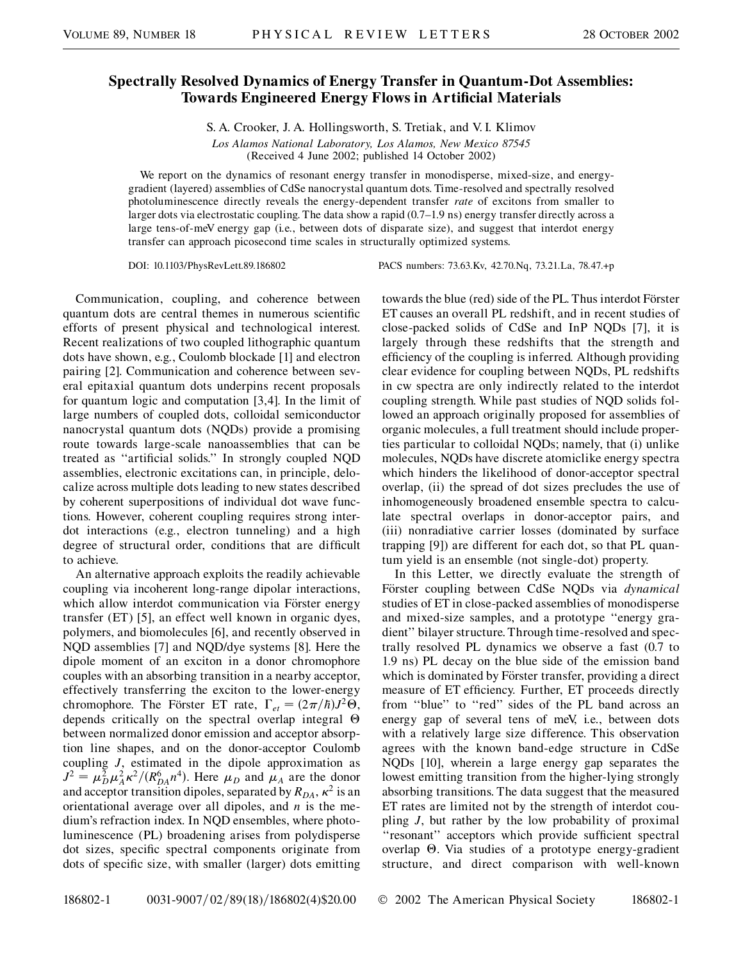## **Spectrally Resolved Dynamics of Energy Transfer in Quantum-Dot Assemblies: Towards Engineered Energy Flows in Artificial Materials**

S. A. Crooker, J. A. Hollingsworth, S. Tretiak, and V. I. Klimov *Los Alamos National Laboratory, Los Alamos, New Mexico 87545* (Received 4 June 2002; published 14 October 2002)

We report on the dynamics of resonant energy transfer in monodisperse, mixed-size, and energygradient (layered) assemblies of CdSe nanocrystal quantum dots. Time-resolved and spectrally resolved photoluminescence directly reveals the energy-dependent transfer *rate* of excitons from smaller to larger dots via electrostatic coupling. The data show a rapid (0.7–1.9 ns) energy transfer directly across a large tens-of-meV energy gap (i.e., between dots of disparate size), and suggest that interdot energy transfer can approach picosecond time scales in structurally optimized systems.

DOI: 10.1103/PhysRevLett.89.186802 PACS numbers: 73.63.Kv, 42.70.Nq, 73.21.La, 78.47.+p

Communication, coupling, and coherence between quantum dots are central themes in numerous scientific efforts of present physical and technological interest. Recent realizations of two coupled lithographic quantum dots have shown, e.g., Coulomb blockade [1] and electron pairing [2]. Communication and coherence between several epitaxial quantum dots underpins recent proposals for quantum logic and computation [3,4]. In the limit of large numbers of coupled dots, colloidal semiconductor nanocrystal quantum dots (NQDs) provide a promising route towards large-scale nanoassemblies that can be treated as ''artificial solids.'' In strongly coupled NQD assemblies, electronic excitations can, in principle, delocalize across multiple dots leading to new states described by coherent superpositions of individual dot wave functions. However, coherent coupling requires strong interdot interactions (e.g., electron tunneling) and a high degree of structural order, conditions that are difficult to achieve.

An alternative approach exploits the readily achievable coupling via incoherent long-range dipolar interactions, which allow interdot communication via Förster energy transfer (ET) [5], an effect well known in organic dyes, polymers, and biomolecules [6], and recently observed in NQD assemblies [7] and NQD/dye systems [8]. Here the dipole moment of an exciton in a donor chromophore couples with an absorbing transition in a nearby acceptor, effectively transferring the exciton to the lower-energy chromophore. The Förster ET rate,  $\Gamma_{et} = (2\pi/\hbar)J^2\Theta$ , depends critically on the spectral overlap integral  $\Theta$ between normalized donor emission and acceptor absorption line shapes, and on the donor-acceptor Coulomb coupling *J*, estimated in the dipole approximation as  $J^2 = \mu_D^2 \mu_A^2 \kappa^2 / (R_{DA}^6 n^4)$ . Here  $\mu_D$  and  $\mu_A$  are the donor and acceptor transition dipoles, separated by  $R_{DA}$ ,  $\kappa^2$  is an orientational average over all dipoles, and *n* is the medium's refraction index. In NQD ensembles, where photoluminescence (PL) broadening arises from polydisperse dot sizes, specific spectral components originate from dots of specific size, with smaller (larger) dots emitting towards the blue (red) side of the PL. Thus interdot Förster ET causes an overall PL redshift, and in recent studies of close-packed solids of CdSe and InP NQDs [7], it is largely through these redshifts that the strength and efficiency of the coupling is inferred. Although providing clear evidence for coupling between NQDs, PL redshifts in cw spectra are only indirectly related to the interdot coupling strength. While past studies of NQD solids followed an approach originally proposed for assemblies of organic molecules, a full treatment should include properties particular to colloidal NQDs; namely, that (i) unlike molecules, NQDs have discrete atomiclike energy spectra which hinders the likelihood of donor-acceptor spectral overlap, (ii) the spread of dot sizes precludes the use of inhomogeneously broadened ensemble spectra to calculate spectral overlaps in donor-acceptor pairs, and (iii) nonradiative carrier losses (dominated by surface trapping [9]) are different for each dot, so that PL quantum yield is an ensemble (not single-dot) property.

In this Letter, we directly evaluate the strength of Förster coupling between CdSe NQDs via *dynamical* studies of ET in close-packed assemblies of monodisperse and mixed-size samples, and a prototype ''energy gradient'' bilayer structure. Through time-resolved and spectrally resolved PL dynamics we observe a fast (0.7 to 1.9 ns) PL decay on the blue side of the emission band which is dominated by Förster transfer, providing a direct measure of ET efficiency. Further, ET proceeds directly from ''blue'' to ''red'' sides of the PL band across an energy gap of several tens of meV, i.e., between dots with a relatively large size difference. This observation agrees with the known band-edge structure in CdSe NQDs [10], wherein a large energy gap separates the lowest emitting transition from the higher-lying strongly absorbing transitions. The data suggest that the measured ET rates are limited not by the strength of interdot coupling *J*, but rather by the low probability of proximal ''resonant'' acceptors which provide sufficient spectral overlap  $\Theta$ . Via studies of a prototype energy-gradient structure, and direct comparison with well-known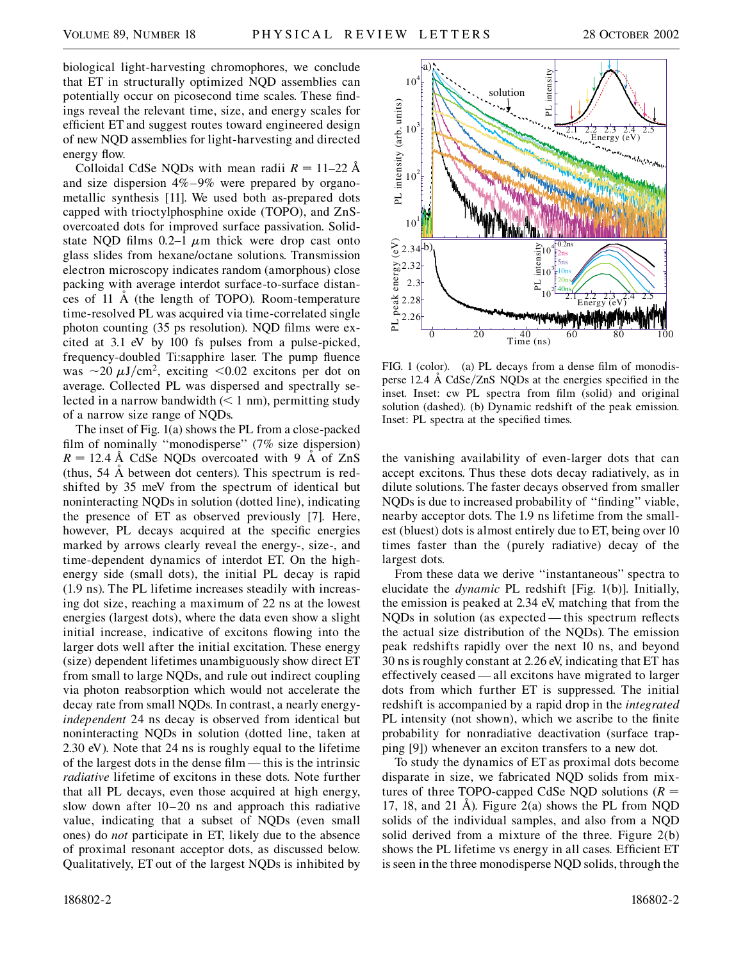biological light-harvesting chromophores, we conclude that ET in structurally optimized NQD assemblies can potentially occur on picosecond time scales. These findings reveal the relevant time, size, and energy scales for efficient ET and suggest routes toward engineered design of new NQD assemblies for light-harvesting and directed energy flow.

Colloidal CdSe NQDs with mean radii  $R = 11-22$  Å and size dispersion 4%–9% were prepared by organometallic synthesis [11]. We used both as-prepared dots capped with trioctylphosphine oxide (TOPO), and ZnSovercoated dots for improved surface passivation. Solidstate NQD films  $0.2-1 \mu m$  thick were drop cast onto glass slides from hexane/octane solutions. Transmission electron microscopy indicates random (amorphous) close packing with average interdot surface-to-surface distances of 11 A˚ (the length of TOPO). Room-temperature time-resolved PL was acquired via time-correlated single photon counting (35 ps resolution). NQD films were excited at 3.1 eV by 100 fs pulses from a pulse-picked, frequency-doubled Ti:sapphire laser. The pump fluence was  $\sim$ 20  $\mu$ J/cm<sup>2</sup>, exciting  $\leq$ 0.02 excitons per dot on average. Collected PL was dispersed and spectrally selected in a narrow bandwidth (*<* 1 nm), permitting study of a narrow size range of NQDs.

The inset of Fig. 1(a) shows the PL from a close-packed film of nominally ''monodisperse'' (7% size dispersion)  $R = 12.4$  Å CdSe NQDs overcoated with 9 Å of ZnS (thus,  $54 \text{ Å}$  between dot centers). This spectrum is redshifted by 35 meV from the spectrum of identical but noninteracting NQDs in solution (dotted line), indicating the presence of ET as observed previously [7]. Here, however, PL decays acquired at the specific energies marked by arrows clearly reveal the energy-, size-, and time-dependent dynamics of interdot ET. On the highenergy side (small dots), the initial PL decay is rapid (1.9 ns). The PL lifetime increases steadily with increasing dot size, reaching a maximum of 22 ns at the lowest energies (largest dots), where the data even show a slight initial increase, indicative of excitons flowing into the larger dots well after the initial excitation. These energy (size) dependent lifetimes unambiguously show direct ET from small to large NQDs, and rule out indirect coupling via photon reabsorption which would not accelerate the decay rate from small NQDs. In contrast, a nearly energy*independent* 24 ns decay is observed from identical but noninteracting NQDs in solution (dotted line, taken at 2.30 eV). Note that 24 ns is roughly equal to the lifetime of the largest dots in the dense film — this is the intrinsic *radiative* lifetime of excitons in these dots. Note further that all PL decays, even those acquired at high energy, slow down after 10–20 ns and approach this radiative value, indicating that a subset of NQDs (even small ones) do *not* participate in ET, likely due to the absence of proximal resonant acceptor dots, as discussed below. Qualitatively, ET out of the largest NQDs is inhibited by



FIG. 1 (color). (a) PL decays from a dense film of monodisperse 12.4 A CdSe/ZnS NQDs at the energies specified in the inset. Inset: cw PL spectra from film (solid) and original solution (dashed). (b) Dynamic redshift of the peak emission. Inset: PL spectra at the specified times.

the vanishing availability of even-larger dots that can accept excitons. Thus these dots decay radiatively, as in dilute solutions. The faster decays observed from smaller NQDs is due to increased probability of ''finding'' viable, nearby acceptor dots. The 1.9 ns lifetime from the smallest (bluest) dots is almost entirely due to ET, being over 10 times faster than the (purely radiative) decay of the largest dots.

From these data we derive "instantaneous" spectra to elucidate the *dynamic* PL redshift [Fig. 1(b)]. Initially, the emission is peaked at 2.34 eV, matching that from the NQDs in solution (as expected — this spectrum reflects the actual size distribution of the NQDs). The emission peak redshifts rapidly over the next 10 ns, and beyond 30 ns is roughly constant at 2.26 eV, indicating that ET has effectively ceased — all excitons have migrated to larger dots from which further ET is suppressed. The initial redshift is accompanied by a rapid drop in the *integrated* PL intensity (not shown), which we ascribe to the finite probability for nonradiative deactivation (surface trapping [9]) whenever an exciton transfers to a new dot.

To study the dynamics of ET as proximal dots become disparate in size, we fabricated NQD solids from mixtures of three TOPO-capped CdSe NQD solutions (*R* 17, 18, and 21  $\AA$ ). Figure 2(a) shows the PL from NQD solids of the individual samples, and also from a NQD solid derived from a mixture of the three. Figure 2(b) shows the PL lifetime vs energy in all cases. Efficient ET is seen in the three monodisperse NQD solids, through the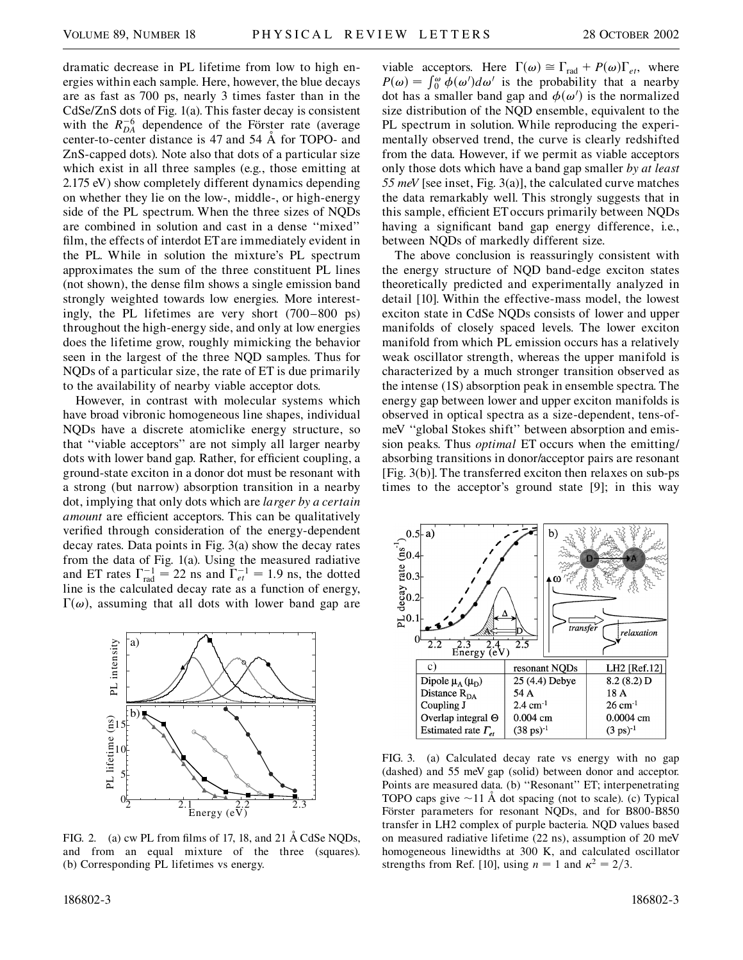dramatic decrease in PL lifetime from low to high energies within each sample. Here, however, the blue decays are as fast as 700 ps, nearly 3 times faster than in the CdSe/ZnS dots of Fig. 1(a). This faster decay is consistent with the  $R_{DA}^{-6}$  dependence of the Förster rate (average center-to-center distance is 47 and 54 Å for TOPO- and ZnS-capped dots). Note also that dots of a particular size which exist in all three samples (e.g., those emitting at 2.175 eV) show completely different dynamics depending on whether they lie on the low-, middle-, or high-energy side of the PL spectrum. When the three sizes of NQDs are combined in solution and cast in a dense ''mixed'' film, the effects of interdot ETare immediately evident in the PL. While in solution the mixture's PL spectrum approximates the sum of the three constituent PL lines (not shown), the dense film shows a single emission band strongly weighted towards low energies. More interestingly, the PL lifetimes are very short (700–800 ps) throughout the high-energy side, and only at low energies does the lifetime grow, roughly mimicking the behavior seen in the largest of the three NQD samples. Thus for NQDs of a particular size, the rate of ET is due primarily to the availability of nearby viable acceptor dots.

However, in contrast with molecular systems which have broad vibronic homogeneous line shapes, individual NQDs have a discrete atomiclike energy structure, so that ''viable acceptors'' are not simply all larger nearby dots with lower band gap. Rather, for efficient coupling, a ground-state exciton in a donor dot must be resonant with a strong (but narrow) absorption transition in a nearby dot, implying that only dots which are *larger by a certain amount* are efficient acceptors. This can be qualitatively verified through consideration of the energy-dependent decay rates. Data points in Fig. 3(a) show the decay rates from the data of Fig. 1(a). Using the measured radiative and ET rates  $\Gamma_{rad}^{-1} = 22$  ns and  $\Gamma_{et}^{-1} = 1.9$  ns, the dotted line is the calculated decay rate as a function of energy,  $\Gamma(\omega)$ , assuming that all dots with lower band gap are



FIG. 2. (a) cw PL from films of 17, 18, and 21  $\AA$  CdSe NQDs, and from an equal mixture of the three (squares). (b) Corresponding PL lifetimes vs energy.

viable acceptors. Here  $\Gamma(\omega) \cong \Gamma_{\text{rad}} + P(\omega)\Gamma_{et}$ , where  $P(\omega) = \int_0^{\omega} \phi(\omega') d\omega'$  is the probability that a nearby dot has a smaller band gap and  $\phi(\omega')$  is the normalized size distribution of the NQD ensemble, equivalent to the PL spectrum in solution. While reproducing the experimentally observed trend, the curve is clearly redshifted from the data. However, if we permit as viable acceptors only those dots which have a band gap smaller *by at least 55 meV* [see inset, Fig. 3(a)], the calculated curve matches the data remarkably well. This strongly suggests that in this sample, efficient ET occurs primarily between NQDs having a significant band gap energy difference, i.e., between NQDs of markedly different size.

The above conclusion is reassuringly consistent with the energy structure of NQD band-edge exciton states theoretically predicted and experimentally analyzed in detail [10]. Within the effective-mass model, the lowest exciton state in CdSe NQDs consists of lower and upper manifolds of closely spaced levels. The lower exciton manifold from which PL emission occurs has a relatively weak oscillator strength, whereas the upper manifold is characterized by a much stronger transition observed as the intense (1S) absorption peak in ensemble spectra. The energy gap between lower and upper exciton manifolds is observed in optical spectra as a size-dependent, tens-ofmeV ''global Stokes shift'' between absorption and emission peaks. Thus *optimal* ET occurs when the emitting/ absorbing transitions in donor/acceptor pairs are resonant [Fig. 3(b)]. The transferred exciton then relaxes on sub-ps times to the acceptor's ground state [9]; in this way



FIG. 3. (a) Calculated decay rate vs energy with no gap (dashed) and 55 meV gap (solid) between donor and acceptor. Points are measured data. (b) ''Resonant'' ET; interpenetrating TOPO caps give  $\sim$ 11 Å dot spacing (not to scale). (c) Typical Förster parameters for resonant NQDs, and for B800-B850 transfer in LH2 complex of purple bacteria. NQD values based on measured radiative lifetime (22 ns), assumption of 20 meV homogeneous linewidths at 300 K, and calculated oscillator strengths from Ref. [10], using  $n = 1$  and  $\kappa^2 = 2/3$ .